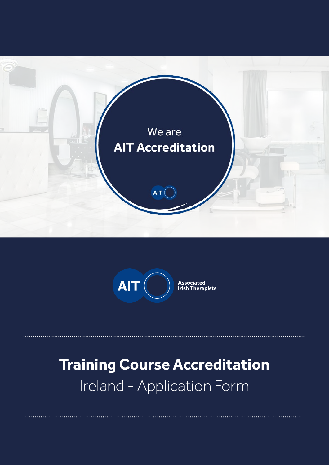



# **Training Course Accreditation** Ireland - Application Form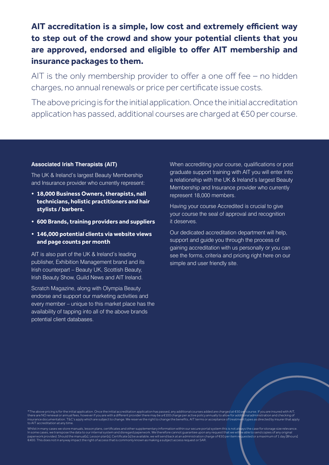**AIT accreditation is a simple, low cost and extremely efficient way to step out of the crowd and show your potential clients that you are approved, endorsed and eligible to offer AIT membership and insurance packages to them.**

AIT is the only membership provider to offer a one off fee – no hidden charges, no annual renewals or price per certificate issue costs.

The above pricing is for the initial application. Once the initial accreditation application has passed, additional courses are charged at €50 per course.

#### **Associated Irish Therapists (AIT)**

The UK & Ireland's largest Beauty Membership and Insurance provider who currently represent:

- **• 18,000 Business Owners, therapists, nail technicians, holistic practitioners and hair stylists / barbers.**
- **• 600 Brands, training providers and suppliers**
- **• 146,000 potential clients via website views and page counts per month**

AIT is also part of the UK & Ireland's leading publisher, Exhibition Management brand and its Irish counterpart – Beauty UK, Scottish Beauty, Irish Beauty Show, Guild News and AIT Ireland.

Scratch Magazine, along with Olympia Beauty endorse and support our marketing activities and every member – unique to this market place has the availability of tapping into all of the above brands potential client databases.

When accrediting your course, qualifications or post graduate support training with AIT you will enter into a relationship with the UK & Ireland's largest Beauty Membership and Insurance provider who currently represent 18,000 members.

Having your course Accredited is crucial to give your course the seal of approval and recognition it deserves.

Our dedicated accreditation department will help, support and guide you through the process of gaining accreditation with us personally or you can see the forms, criteria and pricing right here on our simple and user friendly site.

\*The above pricing is for the initial application. Once the initial accreditation application has passed, any additional courses added are charged at €50 per course. If you are insured with AIT,<br>there are NO renewal or ann to AIT accreditation at any time.

Whilst in many cases we store manuals. lesson plans, certificates and other supplementary information within our secure portal system this is not always the case for storage size relevance.<br>In some cases, we transpose the €400. This does not in anyway impact the right of access that is commonly known as making a subject access request or SAR.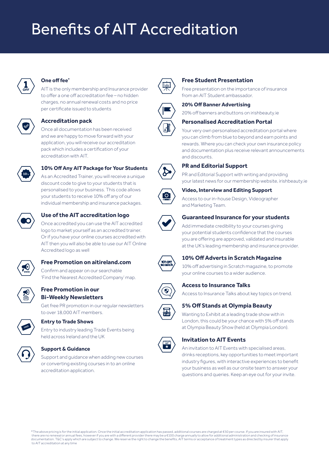# Benefits of AIT Accreditation



#### **One off fee\***

AIT is the only membership and Insurance provider to offer a one off accreditation fee – no hidden charges, no annual renewal costs and no price per certificate issued to students

#### **Accreditation pack**



Once all documentation has been received and we are happy to move forward with your application, you will receive our accreditation pack which includes a certification of your accreditation with AIT.



### **10% Off Any AIT Package for Your Students**

As an Accredited Trainer, you will receive a unique discount code to give to your students that is personalised to your business. This code allows your students to receive 10% off any of our individual membership and insurance packages.



### **Use of the AIT accreditation logo**

Once accredited you can use the AIT accredited logo to market yourself as an accredited trainer. Or if you have your online courses accredited with AIT then you will also be able to use our AIT Online Accredited logo as well



**Free Promotion on aitireland.com**

Confirm and appear on our searchable 'Find the Nearest Accredited Company' map.

#### **Free Promotion in our Bi-Weekly Newsletters**

Get free PR promotion in our regular newsletters to over 18,000 AIT members.



#### **Entry to Trade Shows**

Entry to industry leading Trade Events being held across Ireland and the UK



#### **Support & Guidance**

Support and guidance when adding new courses or converting existing courses in to an online accreditation application.



#### **Free Student Presentation**

Free presentation on the importance of insurance from an AIT Student ambassador.



#### **20% Off Banner Advertising**

20% off banners and buttons on irishbeauty.ie

#### **Personalised Accreditation Portal**

Your very own personalised accreditation portal where you can climb from blue to beyond and earn points and rewards. Where you can check your own insurance policy and documentation plus receive relevant announcements and discounts.



#### **PR and Editorial Support**

PR and Editorial Support with writing and providing your latest news for our membership website, irishbeauty.ie



### **Video, Interview and Editing Support**



Access to our in-house Design, Videographer and Marketing Team.

#### **Guaranteed Insurance for your students**

Add immediate credibility to your courses giving your potential students confidence that the courses you are offering are approved, validated and insurable at the UK's leading membership and insurance provider.



**10% Off Adverts in Scratch Magazine**

10% off advertising in Scratch magazine, to promote your online courses to a wider audience.



#### **Access to Insurance Talks**

Access to Insurance Talks about key topics on trend.



#### **5% Off Stands at Olympia Beauty**

Wanting to Exhibit at a leading trade show with in London, this could be your chance with 5% off stands at Olympia Beauty Show (held at Olympia London).



#### **Invitation to AIT Events**

An invitation to AIT Events with specialised areas, drinks receptions, key opportunities to meet important industry figures, with interactive experiences to benefit your business as well as our onsite team to answer your questions and queries. Keep an eye out for your invite.

\*The above pricing is for the initial application. Once the initial accreditation application has passed, additional courses are charged at €50 per course. If you are insured with AIT,<br>there are no renewal or annual fees, documentation. T&C's apply which are subject to change. We reserve the right to change the benefits, AIT terms or acceptance of treatment types as directed by insurer that apply to AIT accreditation at any time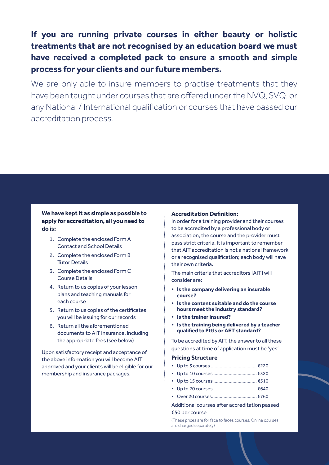**If you are running private courses in either beauty or holistic treatments that are not recognised by an education board we must have received a completed pack to ensure a smooth and simple process for your clients and our future members.**

We are only able to insure members to practise treatments that they have been taught under courses that are offered under the NVQ, SVQ, or any National / International qualification or courses that have passed our accreditation process.

#### **We have kept it as simple as possible to apply for accreditation, all you need to do is:**

- 1. Complete the enclosed Form A Contact and School Details
- 2. Complete the enclosed Form B Tutor Details
- 3. Complete the enclosed Form C Course Details
- 4. Return to us copies of your lesson plans and teaching manuals for each course
- 5. Return to us copies of the certificates you will be issuing for our records
- 6. Return all the aforementioned documents to AIT Insurance, including the appropriate fees (see below)

Upon satisfactory receipt and acceptance of the above information you will become AIT approved and your clients will be eligible for our membership and insurance packages.

#### **Accreditation Definition:**

In order for a training provider and their courses to be accredited by a professional body or association, the course and the provider must pass strict criteria. It is important to remember that AIT accreditation is not a national framework or a recognised qualification; each body will have their own criteria.

The main criteria that accreditors [AIT] will consider are:

- **• Is the company delivering an insurable course?**
- **• Is the content suitable and do the course hours meet the industry standard?**
- **• Is the trainer insured?**
- **• Is the training being delivered by a teacher qualified to Pttls or AET standard?**

To be accredited by AIT, the answer to all these questions at time of application must be 'yes'.

#### **Pricing Structure**

- Up to 3 courses .................................... €220
- Up to 10 courses .................................. €320
- Up to 15 courses .................................. €510
- Up to 20 courses .................................. €640
- Over 20 courses................................... €760
- Additional courses after accreditation passed

#### €50 per course

(These prices are for face to faces courses. Online courses are charged separately)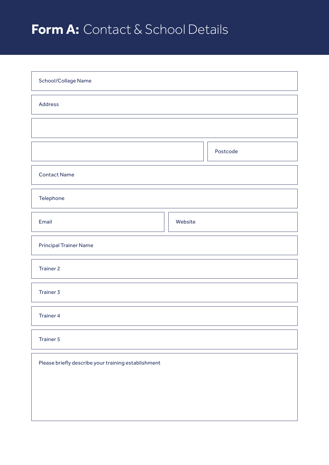## **Form A:** Contact & School Details

| School/Collage Name                                 |          |  |  |  |  |
|-----------------------------------------------------|----------|--|--|--|--|
| <b>Address</b>                                      |          |  |  |  |  |
|                                                     |          |  |  |  |  |
|                                                     | Postcode |  |  |  |  |
| <b>Contact Name</b>                                 |          |  |  |  |  |
| Telephone                                           |          |  |  |  |  |
| Email                                               | Website  |  |  |  |  |
| <b>Principal Trainer Name</b>                       |          |  |  |  |  |
| <b>Trainer 2</b>                                    |          |  |  |  |  |
| <b>Trainer 3</b>                                    |          |  |  |  |  |
| <b>Trainer 4</b>                                    |          |  |  |  |  |
| <b>Trainer 5</b>                                    |          |  |  |  |  |
| Please briefly describe your training establishment |          |  |  |  |  |
|                                                     |          |  |  |  |  |
|                                                     |          |  |  |  |  |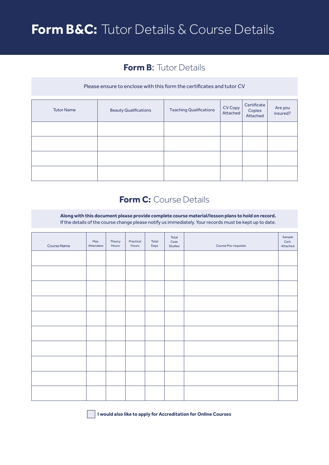## **Form B&C:** Tutor Details & Course Details

### **Form B:** Tutor Details

#### Please ensure to enclose with this form the certificates and tutor CV

| <b>Tutor Name</b> | <b>Beauty Qualifications</b> | <b>Teaching Qualifications</b> | CV Copy<br>Attached | Certificate<br>Copies<br>Attached | Are you<br>insured? |
|-------------------|------------------------------|--------------------------------|---------------------|-----------------------------------|---------------------|
|                   |                              |                                |                     |                                   |                     |
|                   |                              |                                |                     |                                   |                     |
|                   |                              |                                |                     |                                   |                     |
|                   |                              |                                |                     |                                   |                     |

### **Form C:** Course Details

**Along with this document please provide complete course material/lesson plans to hold on record.** If the details of the course change please notify us immediately. Your records must be kept up to date.

| <b>Course Name</b> | Max.<br>Attendees | Theory<br>Hours | Practical<br>Hours | Total<br>Days | Total<br>Case<br>Studies | Course Pre-requisite | Sample<br>Cert.<br>Attached |
|--------------------|-------------------|-----------------|--------------------|---------------|--------------------------|----------------------|-----------------------------|
|                    |                   |                 |                    |               |                          |                      |                             |
|                    |                   |                 |                    |               |                          |                      |                             |
|                    |                   |                 |                    |               |                          |                      |                             |
|                    |                   |                 |                    |               |                          |                      |                             |
|                    |                   |                 |                    |               |                          |                      |                             |
|                    |                   |                 |                    |               |                          |                      |                             |
|                    |                   |                 |                    |               |                          |                      |                             |
|                    |                   |                 |                    |               |                          |                      |                             |
|                    |                   |                 |                    |               |                          |                      |                             |
|                    |                   |                 |                    |               |                          |                      |                             |

**I would also like to apply for Accreditation for Online Courses**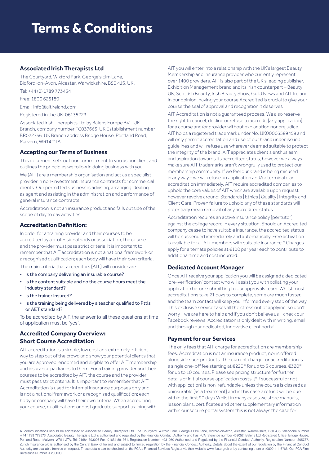## **Terms & Conditions**

#### **Associated Irish Therapists Ltd**

The Courtyard, Wixford Park, George's Elm Lane, Bidford-on-Avon, Alcester, Warwickshire, B50 4JS. UK.

Tel: +44 (0) 1789 773434

Free: 1800 625180

Email: info@aitireland.com

Registered in the UK: 06135223

Associated Irish Therapists Ltd by Balens Europe BV - UK Branch, company number FC037665, UK Establishment number BR022756. UK Branch address Bridge House, Portland Road, Malvern, WR14 2TA.

#### **Accepting our Terms of Business**

This document sets out our commitment to you as our client and outlines the principles we follow in doing business with you.

We (AIT) are a membership organisation and act as a specialist provider in non-investment insurance contracts for commercial clients. Our permitted business is advising, arranging, dealing as agent and assisting in the administration and performance of general insurance contracts.

Accreditation is not an insurance product and falls outside of the scope of day to day activities.

#### **Accreditation Definition:**

In order for a training provider and their courses to be accredited by a professional body or association, the course and the provider must pass strict criteria. It is important to remember that AIT accreditation is not a national framework or a recognised qualification; each body will have their own criteria.

The main criteria that accreditors [AIT] will consider are:

- Is the company delivering an insurable course?
- Is the content suitable and do the course hours meet the industry standard?
- Is the trainer insured?
- Is the training being delivered by a teacher qualified to Pttls or AET standard?

To be accredited by AIT, the answer to all these questions at time of application must be 'yes'.

#### **Accredited Company Overview: Short Course Accreditation**

AIT accreditation is a simple, low cost and extremely efficient way to step out of the crowd and show your potential clients that you are approved, endorsed and eligible to offer AIT membership and insurance packages to them. For a training provider and their courses to be accredited by AIT, the course and the provider must pass strict criteria. It is important to remember that AIT Accreditation is used for internal insurance purposes only and is not a national framework or a recognised qualification; each body or company will have their own criteria. When accrediting your course, qualifications or post graduate support training with AIT you will enter into a relationship with the UK's largest Beauty Membership and Insurance provider who currently represent over 1400 providers. AIT is also part of the UK's leading publisher, Exhibition Management brand and its Irish counterpart – Beauty UK, Scottish Beauty, Irish Beauty Show, Guild News and AIT Ireland. In our opinion, having your course Accredited is crucial to give your course the seal of approval and recognition it deserves

AIT Accreditation is not a guaranteed process. We also reserve the right to cancel, decline or refuse to accredit [any application] for a course and/or provider without explanation nor prejudice. AIT holds a registered trademark under No. UK00003589458 and will only permit accreditation and use of our brand under issued guidelines and will refuse use wherever deemed suitable to protect the integrity of the brand. AIT appreciates client's enthusiasm and aspiration towards its accredited status, however we always make sure AIT trademarks aren't wrongfully used to protect our membership community. If we feel our brand is being misused in any way – we will refuse an application and/or terminate an accreditation immediately. AIT require accredited companies to uphold the core values of AIT which are available upon request however revolve around: Standards | Ethics | Quality | Integrity and Client Care. Proven failure to uphold any of these standards will potentially mean removal of any accredited status.

Accreditation requires an active insurance policy [per tutor] against the college record in every situation. Should an Accredited company cease to have suitable insurance, the accredited status will be suspended immediately and automatically. Free activation is available for all AIT members with suitable insurance.\* Charges apply for alternate policies at €100 per year each to contribute to additional time and cost incurred.

#### **Dedicated Account Manager**

Once AIT receive your application you will be assigned a dedicated 'pre-verification' contact who will assist you with collating your application before submitting to our approvals team. Whilst most accreditations take 21 days to complete, some are much faster, and the team contact will keep you informed every step of the way. This exclusive service takes all the stress out of applying, so don't worry – we are here to help and if you don't believe us – check our Facebook reviews! Accreditation is only dealt with in writing, email and through our dedicated, innovative client portal.

#### **Payment for our Services**

The only fees that AIT charge for accreditation are membership fees. Accreditation is not an insurance product, nor is offered alongside such products. The current charge for accreditation is a single one-off fee starting at €220\* for up to 3 courses, €320\* for up to 10 courses. Please see pricing structure for further details of initial course application costs. [\*if successful or not with application] is non-refundable unless the course is classed as uninsurable [as a treatment] and in this case a refund will be due within the first 90 days.Whilst in many cases we store manuals, lesson plans, certificates and other supplementary information within our secure portal system this is not always the case for

All communications should be addressed to Associated Beauty Therapists Ltd. The Courtyard, Wixford Park, George's Elm Lane, Bidford-on-Avon, Alcester, Warwickshire, B50 4JS, telephone number +44 1789 773573. Associated Beauty Therapists Ltd is authorised and regulated by the Financial Conduct Authority and has FCA reference number 463052. Balens Ltd Registered Office: Bridge House Portland Road, Malvern, WR14 2TA. Tel: 01684 893006 Fax: 01684 891361. Registration Number: 4931050 Authorised and Regulated by the Financial Conduct Authority, Registration Number: 305787. Zurich Insurance plc is authorised by the Central Bank of Ireland and subject to limited regulation by the Financial Conduct Authority. Details about the extent of our regulation by the Financial Conduct Authority are available from us on request. These details can be checked on the FCA's Financial Services Register via their website www.fca.org.uk or by contacting them on 0800 111 6768. Our FCA Firm Reference Number is 203093.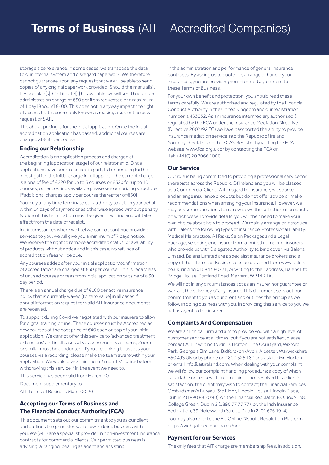## **Terms of Business** (AIT – Accredited Companies)

storage size relevance.In some cases, we transpose the data to our internal system and disregard paperwork. We therefore cannot guarantee upon any request that we will be able to send copies of any original paperwork provided. Should the manual[s], Lesson plan[s], Certificate[s] be available, we will send back at an administration charge of €50 per item requested or a maximum of 1 day [8hours] €400. This does not in anyway impact the right of access that is commonly known as making a subject access request or SAR.

The above pricing is for the initial application. Once the initial accreditation application has passed, additional courses are charged at €50 per course.

#### **Ending our Relationship**

Accreditation is an application process and charged at the beginning [application stage] of our relationship. Once applications have been received in part, full or pending further investigation the initial charge in full applies. The current charge is a one of fee of €220 for up to 3 courses or €320 for up to 10 courses, other costings available please see our pricing structure [\*additional charges apply per course thereafter of €50]

You may at any time terminate our authority to act on your behalf within 14 days of payment or as otherwise agreed without penalty. Notice of this termination must be given in writing and will take effect from the date of receipt.

In circumstances where we feel we cannot continue providing services to you, we will give you a minimum of 7 days notice. We reserve the right to remove accredited status, or availability of products without notice and in this case, no refunds of accreditation fees will be due.

Any courses added after your initial application/confirmation of accreditation are charged at €50 per course. This is regardless of unused courses or fees from initial application outside of a 30 day period.

There is an annual charge due of €100 per active insurance policy that is currently waved [to zero value] in all cases if annual information request for valid AIT insurance documents are received.

To support during Covid we negotiated with our insurers to allow for digital training online. These courses must be Accredited as new courses at the cost price of €40 each on top of your initial application. We cannot offer this service to 'advanced treatment extensions' and in all cases a live assessment via Teams, Zoom or similar must be conducted. If you are looking to assess your courses via a recording, please make the team aware within your application. We would give a minimum 3 months' notice before withdrawing this service if in the event we need to.

This service has been valid from March-20.

Document supplementary to:

AIT Terms of Business March 2020

#### **Accepting our Terms of Business and The Financial Conduct Authority (FCA)**

This document sets out our commitment to you as our client and outlines the principles we follow in doing business with you. We (AIT) are a specialist provider in non-investment insurance contracts for commercial clients. Our permitted business is advising, arranging, dealing as agent and assisting

in the administration and performance of general insurance contracts. By asking us to quote for, arrange or handle your insurances, you are providing you informed agreement to these Terms of Business.

For your own benefit and protection, you should read these terms carefully. We are authorised and regulated by the Financial Conduct Authority in the United Kingdom and our registration number is 463052. As an insurance intermediary authorised & regulated by the FCA under the Insurance Mediation Directive (Directive 2002/92 EC) we have passported the ability to provide insurance mediation service into the Republic of Ireland. You may check this on the FCA's Register by visiting the FCA website: www.fca.org.uk or by contacting the FCA on Tel: +44 (0) 20 7066 1000

#### **Our Service**

Our role is being committed to providing a professional service for therapists across the Republic Of Ireland and you will be classed as a Commercial Client. With regard to insurance, we source and arrange insurance products but do not offer advice or make recommendations when arranging your insurance. However, we may ask some questions to narrow down the selection of products on which we will provide details; you will then need to make your own choice about how to proceed. We mainly arrange or introduce with Balens the following types of insurance; Professional Liability, Medical Malpractice, All Risks, Salon Packages and a Legal Package, selecting one insurer from a limited number of insurers who provide us with Delegated Authority to bind cover, via Balens Limited. Balens Limited are a specialist insurance brokers and a copy of their Terms of Business can be obtained from www.balens. co.uk, ringing 01684 580771, or writing to their address, Balens Ltd, Bridge House, Portland Road, Malvern, WR14 2TA.

We will not in any circumstances act as an insurer nor guarantee or warrant the solvency of any insurer. This document sets out our commitment to you as our client and outlines the principles we follow in doing business with you. In providing this service to you we act as agent to the insurer.

#### **Complaints And Compensation**

We are an Ethical Firm and aim to provide you with a high level of customer service at all times, but if you are not satisfied, please contact AIT in writing to Mr. D. Horton, The Courtyard, Wixford Park, George's Elm Lane, Bidford-on-Avon, Alcester, Warwickshire B50 4JS UK or by phone on 1800 625 180 and ask for Mr. Horton or email info@aitireland.com. When dealing with your complaint we will follow our complaint handling procedure; a copy of which is available on request. If a complaint is not resolved to a client's satisfaction, the client may wish to contact; the Financial Services Ombudsman's Bureau, 3rd Floor, Lincoln House, Lincoln Place, Dublin 2 (1890 88 20 90), or, the Financial Regulator, P.O.Box 9138, College Green, Dublin 2 (1890 77 77 77), or, the Irish Insurance Federation, 39 Molesworth Street, Dublin 2 (01 676 1914).

You may also refer to the EU Online Dispute Resolution Platform https://webgate.ec.europa.eu/odr.

#### **Payment for our Services**

The only fees that AIT charge are membership fees. In addition,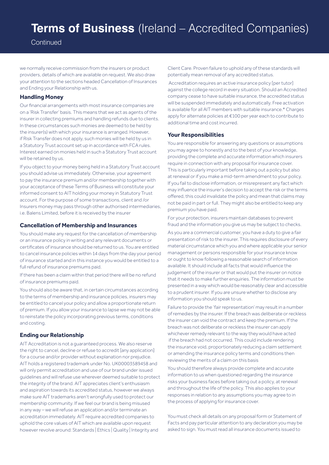## **Terms of Business** (Ireland – Accredited Companies)

**Continued** 

we normally receive commission from the insurers or product providers, details of which are available on request. We also draw your attention to the sections headed Cancellation of Insurances and Ending your Relationship with us.

#### **Handling Money**

Our financial arrangements with most insurance companies are on a 'Risk Transfer' basis. This means that we act as agents of the insurer in collecting premiums and handling refunds due to clients. In these circumstances such monies are deemed to be held by the insurer(s) with which your insurance is arranged. However, if Risk Transfer does not apply, such monies will be held by us in a Statutory Trust account set up in accordance with FCA rules. Interest earned on monies held in such a Statutory Trust account will be retained by us.

If you object to your money being held in a Statutory Trust account you should advise us immediately. Otherwise, your agreement to pay the insurance premium and/or membership together with your acceptance of these Terms of Business will constitute your informed consent to AIT holding your money in Statutory Trust account. For the purpose of some transactions, client and /or Insurers money may pass through other authorised intermediaries, i.e. Balens Limited, before it is received by the insurer

#### **Cancellation of Membership and Insurances**

You should make any request for the cancellation of membership or an insurance policy in writing and any relevant documents or certificates of insurance should be returned to us. You are entitled to cancel insurance policies within 14 days from the day your period of insurance started and in this instance you would be entitled to a full refund of insurance premiums paid.

If there has been a claim within that period there will be no refund of insurance premiums paid.

You should also be aware that, in certain circumstances according to the terms of membership and insurance policies, insurers may be entitled to cancel your policy and allow a proportionate return of premium. If you allow your insurance to lapse we may not be able to reinstate the policy incorporating previous terms, conditions and costing.

#### **Ending our Relationship**

AIT Accreditation is not a guaranteed process. We also reserve the right to cancel, decline or refuse to accredit [any application] for a course and/or provider without explanation nor prejudice. AIT holds a registered trademark under No. UK00003589458 and will only permit accreditation and use of our brand under issued guidelines and will refuse use wherever deemed suitable to protect the integrity of the brand. AIT appreciates client's enthusiasm and aspiration towards its accredited status, however we always make sure AIT trademarks aren't wrongfully used to protect our membership community. If we feel our brand is being misused in any way – we will refuse an application and/or terminate an accreditation immediately. AIT require accredited companies to uphold the core values of AIT which are available upon request however revolve around: Standards | Ethics | Quality | Integrity and

Client Care. Proven failure to uphold any of these standards will potentially mean removal of any accredited status.

 Accreditation requires an active insurance policy [per tutor] against the college record in every situation. Should an Accredited company cease to have suitable insurance, the accredited status will be suspended immediately and automatically. Free activation is available for all AIT members with suitable insurance.\* Charges apply for alternate policies at €100 per year each to contribute to additional time and cost incurred.

#### **Your Responsibilities**

You are responsible for answering any questions or assumptions you may agree to honestly and to the best of your knowledge, providing the complete and accurate information which insurers require in connection with any proposal for insurance cover. This is particularly important before taking out a policy but also at renewal or if you make a mid-term amendment to your policy. If you fail to disclose information, or misrepresent any fact which may influence the insurer's decision to accept the risk or the terms offered, this could invalidate the policy and mean that claims may not be paid in part or full. They might also be entitled to keep any premium you have paid.

For your protection, insurers maintain databases to prevent fraud and the information you give us may be subject to checks.

As you are a commercial customer, you have a duty to give a fair presentation of risk to the insurer. This requires disclosure of every material circumstance which you and where applicable your senior management or persons responsible for your insurance know or ought to know following a reasonable search of information available. It should include all facts that would influence the judgement of the insurer or that would put the insurer on notice that it needs to make further enquiries. The information must be presented in a way which would be reasonably clear and accessible to a prudent insurer. If you are unsure whether to disclose any information you should speak to us.

Failure to provide the 'fair representation' may result in a number of remedies by the insurer. If the breach was deliberate or reckless the insurer can void the contract and keep the premium. If the breach was not deliberate or reckless the insurer can apply whichever remedy relevant to the way they would have acted if the breach had not occurred. This could include rendering the insurance void, proportionately reducing a claim settlement or amending the insurance policy terms and conditions then reviewing the merits of a claim on this basis

You should therefore always provide complete and accurate information to us when questioned regarding the insurance risks your business faces before taking out a policy, at renewal and throughout the life of the policy. This also applies to your responses in relation to any assumptions you may agree to in the process of applying for insurance cover.

You must check all details on any proposal form or Statement of Facts and pay particular attention to any declaration you may be asked to sign. You must read all insurance documents issued to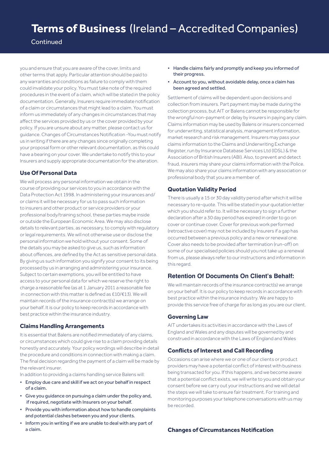### **Terms of Business** (Ireland – Accredited Companies)

#### **Continued**

you and ensure that you are aware of the cover, limits and other terms that apply. Particular attention should be paid to any warranties and conditions as failure to comply with them could invalidate your policy. You must take note of the required procedures in the event of a claim, which will be stated in the policy documentation. Generally, Insurers require immediate notification of a claim or circumstances that might lead to a claim. You must inform us immediately of any changes in circumstances that may affect the services provided by us or the cover provided by your policy. If you are unsure about any matter, please contact us for guidance. Changes of Circumstances Notification -You must notify us in writing if there are any changes since originally completing your proposal form or other relevant documentation, as this could have a bearing on your cover. We undertake to notify this to your Insurers and supply appropriate documentation for the alteration.

#### **Use Of Personal Data**

We will process any personal information we obtain in the course of providing our services to you in accordance with the Data Protection Act 1998. In administering your insurances and/ or claims it will be necessary for us to pass such information to insurers and other product or service providers or your professional body/training school, these parties maybe inside or outside the European Economic Area. We may also disclose details to relevant parties, as necessary, to comply with regulatory or legal requirements. We will not otherwise use or disclose the personal information we hold without your consent. Some of the details you may be asked to give us, such as information about offences, are defined by the Act as sensitive personal data. By giving us such information you signify your consent to its being processed by us in arranging and administering your insurance. Subject to certain exemptions, you will be entitled to have access to your personal data for which we reserve the right to charge a reasonable fee (as at 1 January 2011 a reasonable fee in connection with this matter is defined as £10/€13). We will maintain records of the insurance contract(s) we arrange on your behalf. It is our policy to keep records in accordance with best practice within the insurance industry.

#### **Claims Handling Arrangements**

It is essential that Balens are notified immediately of any claims, or circumstances which could give rise to a claim providing details honestly and accurately. Your policy wordings will describe in detail the procedure and conditions in connection with making a claim. The final decision regarding the payment of a claim will be made by the relevant insurer.

In addition to providing a claims handling service Balens will:

- Employ due care and skill if we act on your behalf in respect of a claim.
- Give you guidance on pursuing a claim under the policy and, if required, negotiate with Insurers on your behalf.
- Provide you with information about how to handle complaints and potential clashes between you and your clients.
- Inform you in writing if we are unable to deal with any part of a claim.
- Handle claims fairly and promptly and keep you informed of their progress.
- Account to you, without avoidable delay, once a claim has been agreed and settled.

Settlement of claims will be dependent upon decisions and collection from insurers. Part payment may be made during the collection process, but AIT or Balens cannot be responsible for the wrongful non-payment or delay by insurers in paying any claim. Claims information may be used by Balens or insurers concerned for underwriting, statistical analysis, management information, market research and risk management. Insurers may pass your claims information to the Claims and Underwriting Exchange Register, run by Insurance Database Services Ltd (IDSL) & the Association of British Insurers (ABI). Also, to prevent and detect fraud, insurers may share your claims information with the Police. We may also share your claims information with any association or professional body that you are a member of.

#### **Quotation Validity Period**

There is usually a 15 or 30 day validity period after which it will be necessary to re-quote. This will be stated in your quotation letter which you should refer to. It will be necessary to sign a further declaration after a 30 day period has expired in order to go on cover or continue cover. Cover for previous work performed (retroactive cover) may not be included by Insurers if a gap has occurred between a previous policy and a new or renewal one. Cover also needs to be provided after termination (run-off) on some of our specialised policies should you not take up a renewal from us, please always refer to our instructions and information in this regard.

#### **Retention Of Documents On Client's Behalf:**

We will maintain records of the insurance contract(s) we arrange on your behalf. It is our policy to keep records in accordance with best practice within the insurance industry. We are happy to provide this service free of charge for as long as you are our client.

#### **Governing Law**

AIT undertakes its activities in accordance with the Laws of England and Wales and any disputes will be governed by and construed in accordance with the Laws of England and Wales

#### **Conflicts of Interest and Call Recording**

Occasions can arise where we or one of our clients or product providers may have a potential conflict of interest with business being transacted for you. If this happens, and we become aware that a potential conflict exists, we will write to you and obtain your consent before we carry out your instructions and we will detail the steps we will take to ensure fair treatment. For training and monitoring purposes your telephone conversations with us may be recorded.

#### **Changes of Circumstances Notification**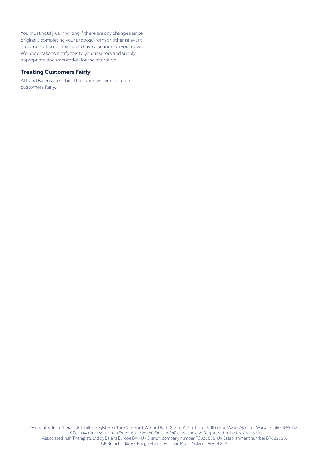You must notify us in writing if there are any changes since originally completing your proposal form or other relevant documentation, as this could have a bearing on your cover. We undertake to notify this to your insurers and supply appropriate documentation for the alteration.

#### **Treating Customers Fairly**

AIT and Balens are ethical firms and we aim to treat our customers fairly.